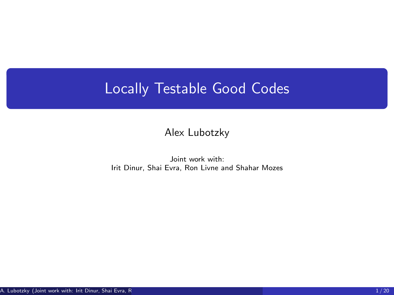# <span id="page-0-0"></span>Locally Testable Good Codes

### Alex Lubotzky

#### Joint work with: Irit Dinur, Shai Evra, Ron Livne and Shahar Mozes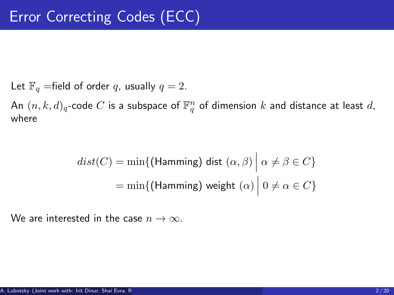Let  $\mathbb{F}_q$  =field of order q, usually  $q = 2$ .

An  $(n, k, d)_q$ -code  $C$  is a subspace of  $\mathbb{F}_q^n$  of dimension  $k$  and distance at least  $d$ , where

$$
dist(C) = \min\{(\text{Hamming}) \text{ dist } (\alpha, \beta) \mid \alpha \neq \beta \in C\}
$$

$$
= \min\{(\text{Hamming}) \text{ weight } (\alpha) \mid 0 \neq \alpha \in C\}
$$

We are interested in the case  $n \to \infty$ .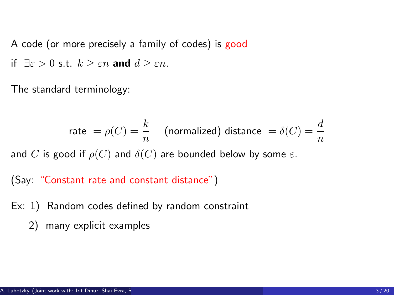A code (or more precisely a family of codes) is good

if  $\exists \varepsilon > 0$  s.t.  $k > \varepsilon n$  and  $d > \varepsilon n$ .

The standard terminology:

$$
\mathsf{rate} = \rho(C) = \frac{k}{n} \quad \text{(normalized) distance } = \delta(C) = \frac{d}{n}
$$

and C is good if  $\rho(C)$  and  $\delta(C)$  are bounded below by some  $\varepsilon$ .

- (Say: "Constant rate and constant distance")
- Ex: 1) Random codes defined by random constraint
	- 2) many explicit examples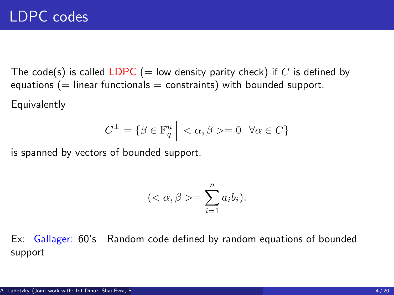The code(s) is called LDPC (= low density parity check) if C is defined by equations ( $=$  linear functionals  $=$  constraints) with bounded support.

Equivalently

$$
C^{\perp} = \{ \beta \in \mathbb{F}_q^n \mid \langle \alpha, \beta \rangle = 0 \quad \forall \alpha \in C \}
$$

is spanned by vectors of bounded support.

$$
(<\alpha,\beta> = \sum_{i=1}^{n} a_i b_i).
$$

Ex: Gallager: 60's Random code defined by random equations of bounded support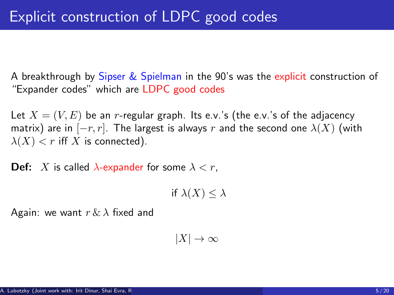A breakthrough by Sipser & Spielman in the 90's was the explicit construction of "Expander codes" which are LDPC good codes

Let  $X = (V, E)$  be an r-regular graph. Its e.v.'s (the e.v.'s of the adjacency matrix) are in  $[-r, r]$ . The largest is always r and the second one  $\lambda(X)$  (with  $\lambda(X) < r$  iff X is connected).

**Def:** X is called  $\lambda$ -expander for some  $\lambda < r$ ,

if  $\lambda(X) \leq \lambda$ 

Again: we want  $r \& \lambda$  fixed and

 $|X| \to \infty$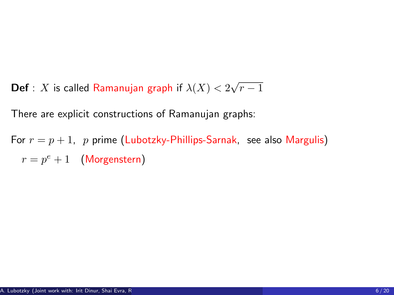**Def** :  $X$  is called Ramanujan graph if  $\lambda(X) < 2\sqrt{r-1}$ 

There are explicit constructions of Ramanujan graphs:

For  $r = p + 1$ , p prime (Lubotzky-Phillips-Sarnak, see also Margulis)  $r = p^e + 1$  (Morgenstern)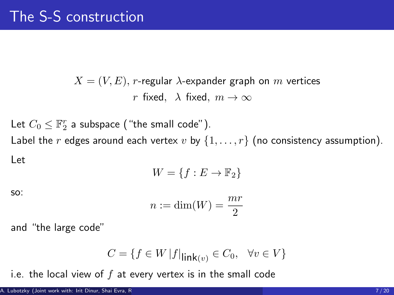$X = (V, E)$ , r-regular  $\lambda$ -expander graph on m vertices r fixed,  $\lambda$  fixed,  $m \to \infty$ 

Let  $C_0 \leq \mathbb{F}_2^r$  a subspace ("the small code"). Label the r edges around each vertex v by  $\{1, \ldots, r\}$  (no consistency assumption). Let  $W = \{f : E \to \mathbb{F}_2\}$ 

so:

$$
n := \dim(W) = \frac{mr}{2}
$$

and "the large code"

$$
C = \{ f \in W \, |f|_{\mathsf{link}(v)} \in C_0, \ \forall v \in V \}
$$

i.e. the local view of  $f$  at every vertex is in the small code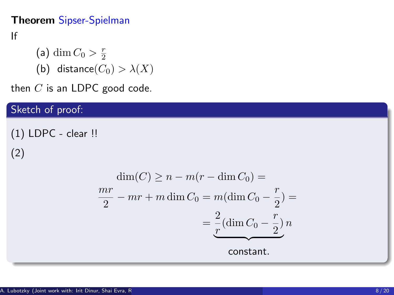# Theorem Sipser-Spielman

If

(a) dim  $C_0 > \frac{r}{2}$ (b) distance $(C_0) > \lambda(X)$ 

then  $C$  is an LDPC good code.

# Sketch of proof:

(1) LDPC - clear !! (2)  $\dim(C) \geq n - m(r - \dim C_0) =$ mr  $\frac{nr}{2} - mr + m \dim C_0 = m(\dim C_0 - \frac{r}{2})$  $\frac{1}{2}$ ) =  $=$  $\frac{2}{1}$  $\frac{2}{r}$ (dim  $C_0 - \frac{r}{2}$  $\frac{1}{2}$ ) n  $\overline{\phantom{a}}$ constant.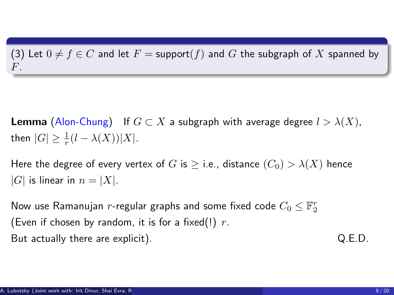(3) Let  $0 \neq f \in C$  and let  $F =$  support $(f)$  and  $G$  the subgraph of X spanned by F.

**Lemma** (Alon-Chung) If  $G \subset X$  a subgraph with average degree  $l > \lambda(X)$ , then  $|G| \geq \frac{1}{r}(l - \lambda(X)) |X|$ .

Here the degree of every vertex of G is  $\geq$  i.e., distance  $(C_0) > \lambda(X)$  hence  $|G|$  is linear in  $n = |X|$ .

Now use Ramanujan  $r$ -regular graphs and some fixed code  $C_0\leq \mathbb{F}_2^r$ (Even if chosen by random, it is for a fixed(!)  $r$ . But actually there are explicit). CHE CONSERVITY AND READ.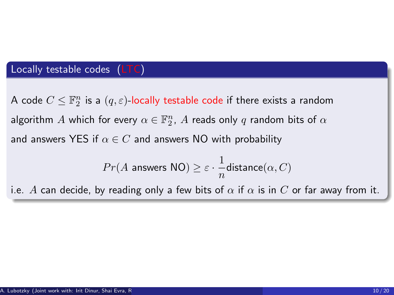# Locally testable codes (LTC)

A code  $C\leq\mathbb{F}_{2}^{n}$  is a  $(q,\varepsilon)$ -locally testable code if there exists a random algorithm  $A$  which for every  $\alpha\in\mathbb{F}_2^n$ ,  $A$  reads only  $q$  random bits of  $\alpha$ and answers YES if  $\alpha \in C$  and answers NO with probability

$$
Pr(A \text{ answers NO}) \ge \varepsilon \cdot \frac{1}{n} \text{distance}(\alpha, C)
$$

i.e. A can decide, by reading only a few bits of  $\alpha$  if  $\alpha$  is in C or far away from it.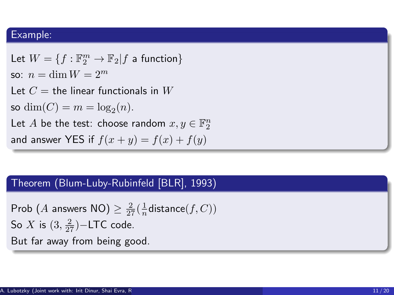#### Example:

Let  $W = \{f : \mathbb{F}_2^m \to \mathbb{F}_2 | f$  a function $\}$ so:  $n = \dim W = 2^m$ Let  $C =$  the linear functionals in  $W$ so  $\dim(C) = m = \log_2(n)$ . Let A be the test: choose random  $x, y \in \mathbb{F}_2^n$ and answer YES if  $f(x + y) = f(x) + f(y)$ 

### Theorem (Blum-Luby-Rubinfeld [BLR], 1993)

Prob (A answers NO)  $\geq \frac{2}{27}(\frac{1}{n}\textsf{distance}(f,C))$ So X is  $(3, \frac{2}{27})$ -LTC code. But far away from being good.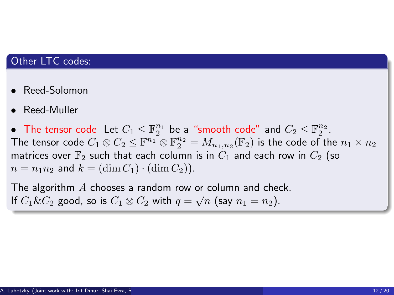### Other LTC codes:

- Reed-Solomon
- Reed-Muller

• The tensor code Let  $C_1 \leq \mathbb{F}_2^{n_1}$  be a "smooth code" and  $C_2 \leq \mathbb{F}_2^{n_2}$ . The tensor code  $C_1\otimes C_2\leq \mathbb{F}^{n_1}\otimes \mathbb{F}_2^{n_2}=M_{n_1,n_2}(\mathbb{F}_2)$  is the code of the  $n_1\times n_2$ matrices over  $\mathbb{F}_2$  such that each column is in  $C_1$  and each row in  $C_2$  (so  $n = n_1 n_2$  and  $k = (\dim C_1) \cdot (\dim C_2)$ .

The algorithm  $A$  chooses a random row or column and check.<br> $\mathcal{L} \cap \mathcal{L} \cap \mathcal{L} \cap \mathcal{L} \cap \mathcal{L}$ If  $C_1 \& C_2$  good, so is  $C_1 \otimes C_2$  with  $q = \sqrt{n}$  (say  $n_1 = n_2$ ).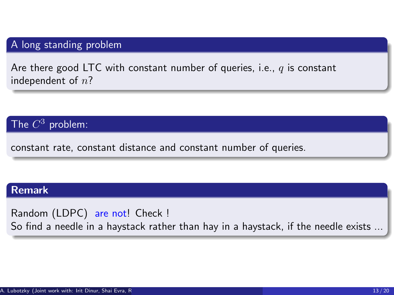# A long standing problem

Are there good LTC with constant number of queries, i.e.,  $q$  is constant independent of  $n$ ?

# The  $C^3$  problem:

constant rate, constant distance and constant number of queries.

#### Remark

Random (LDPC) are not! Check ! So find a needle in a haystack rather than hay in a haystack, if the needle exists.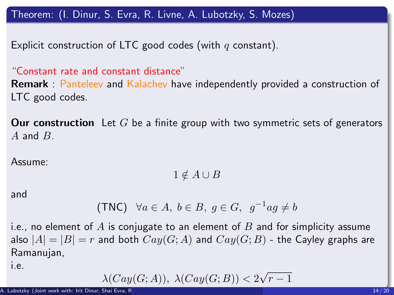Theorem: (I. Dinur, S. Evra, R. Livne, A. Lubotzky, S. Mozes)

Explicit construction of LTC good codes (with  $q$  constant).

"Constant rate and constant distance" **Remark** : Panteleev and Kalachev have independently provided a construction of LTC good codes.

**Our construction** Let G be a finite group with two symmetric sets of generators  $A$  and  $B$ .

Assume:

$$
1 \notin A \cup B
$$

and

(TNC) 
$$
\forall a \in A, b \in B, g \in G, g^{-1}ag \neq b
$$

i.e., no element of A is conjugate to an element of B and for simplicity assume also  $|A| = |B| = r$  and both  $Cay(G;A)$  and  $Cay(G;B)$  - the Cayley graphs are Ramanujan,

i.e.

 $\lambda(Cay(G;A)), \lambda(Cay(G;B)) < 2$ √  $r-1$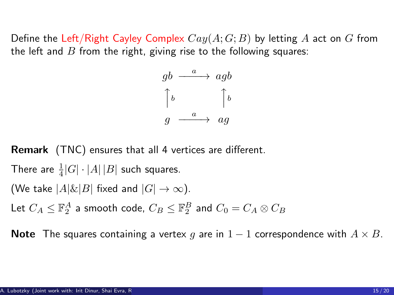Define the Left/Right Cayley Complex  $Cau(A; G; B)$  by letting A act on G from the left and  $B$  from the right, giving rise to the following squares:



Remark (TNC) ensures that all 4 vertices are different.

There are  $\frac{1}{4}|G|\cdot |A|\,|B|$  such squares.

(We take  $|A|\&|B|$  fixed and  $|G| \to \infty$ ).

Let  $C_A \leq \mathbb{F}_2^A$  a smooth code,  $C_B \leq \mathbb{F}_2^B$  and  $C_0 = C_A \otimes C_B$ 

**Note** The squares containing a vertex g are in  $1 - 1$  correspondence with  $A \times B$ .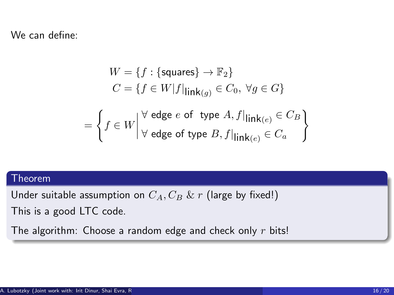We can define:

$$
W = \{f : \{\text{squares}\} \to \mathbb{F}_2\}
$$
  

$$
C = \{f \in W | f|_{\text{link}(g)} \in C_0, \forall g \in G\}
$$
  

$$
= \left\{f \in W \middle| \begin{array}{l} \forall \text{ edge } e \text{ of type } A, f|_{\text{link}(e)} \in C_B \\ \forall \text{ edge of type } B, f|_{\text{link}(e)} \in C_a \end{array} \right\}
$$

#### Theorem

Under suitable assumption on  $C_A, C_B \& r$  (large by fixed!)

This is a good LTC code.

The algorithm: Choose a random edge and check only  $r$  bits!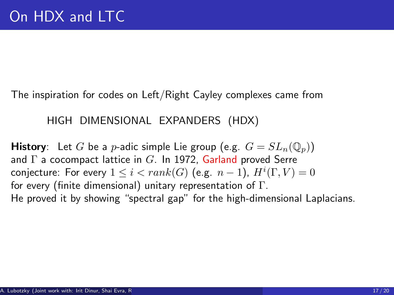The inspiration for codes on Left/Right Cayley complexes came from

HIGH DIMENSIONAL EXPANDERS (HDX)

**History**: Let G be a *p*-adic simple Lie group (e.g.  $G = SL_n(\mathbb{Q}_p)$ ) and  $\Gamma$  a cocompact lattice in  $G$ . In 1972, Garland proved Serre conjecture: For every  $1 \leq i < rank(G)$  (e.g.  $n-1$ ),  $H^i(\Gamma,V) = 0$ for every (finite dimensional) unitary representation of  $\Gamma$ . He proved it by showing "spectral gap" for the high-dimensional Laplacians.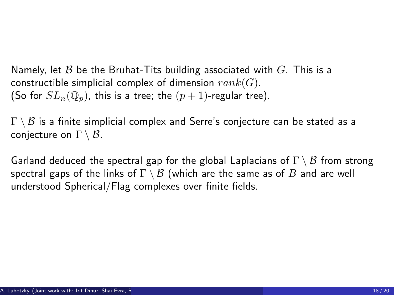Namely, let  $\beta$  be the Bruhat-Tits building associated with  $G$ . This is a constructible simplicial complex of dimension  $rank(G)$ . (So for  $SL_n(\mathbb{Q}_n)$ , this is a tree; the  $(p+1)$ -regular tree).

 $\Gamma \setminus \mathcal{B}$  is a finite simplicial complex and Serre's conjecture can be stated as a conjecture on  $\Gamma \setminus \mathcal{B}$ .

Garland deduced the spectral gap for the global Laplacians of  $\Gamma \setminus \mathcal{B}$  from strong spectral gaps of the links of  $\Gamma \setminus \mathcal{B}$  (which are the same as of  $B$  and are well understood Spherical/Flag complexes over finite fields.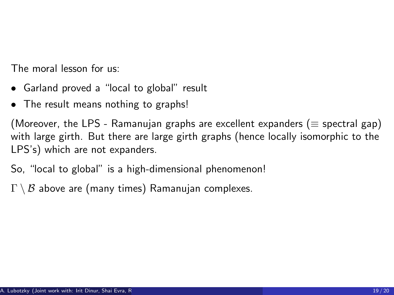The moral lesson for us:

- Garland proved a "local to global" result
- The result means nothing to graphs!

(Moreover, the LPS - Ramanujan graphs are excellent expanders ( $\equiv$  spectral gap) with large girth. But there are large girth graphs (hence locally isomorphic to the LPS's) which are not expanders.

- So, "local to global" is a high-dimensional phenomenon!
- $\Gamma \setminus \mathcal{B}$  above are (many times) Ramanujan complexes.